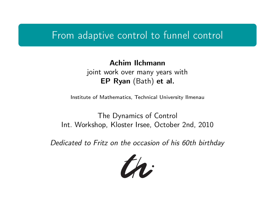### From adaptive control to funnel control

### Achim Ilchmann joint work over many years with EP Ryan (Bath) et al.

Institute of Mathematics, Technical University Ilmenau

The Dynamics of Control Int. Workshop, Kloster Irsee, October 2nd, 2010

<span id="page-0-0"></span>Dedicated to Fritz on the occasion of his 60th birthday

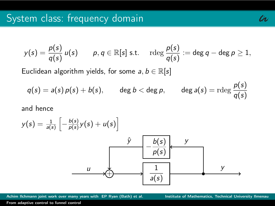$$
y(s) = \frac{p(s)}{q(s)} u(s) \qquad p, q \in \mathbb{R}[s] \text{ s.t. } \quad \text{rdeg } \frac{p(s)}{q(s)} := \text{deg } q - \text{deg } p \geq 1,
$$

Euclidean algorithm yields, for some  $a, b \in \mathbb{R}[s]$ 

$$
q(s) = a(s) p(s) + b(s), \qquad \deg b < \deg p, \qquad \deg a(s) = \mathrm{rdeg} \frac{p(s)}{q(s)}
$$

and hence



Achim Ilchmann joint work over many years with EP Ryan (Bath) et al. **Institute of Mathematics, Technical University Ilmenau** 

th: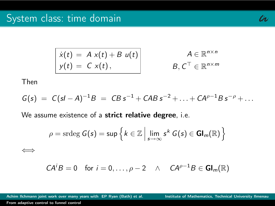$$
\mathcal{U} \cdot
$$

$$
\begin{array}{|l|}\n\dot{x}(t) = A x(t) + B u(t) \\
y(t) = C x(t),\n\end{array}\n\qquad\n\begin{array}{c}\nA \in \mathbb{R}^{n \times n} \\
B, C^{\top} \in \mathbb{R}^{n \times m}\n\end{array}
$$

Then

$$
G(s) = C(sI - A)^{-1}B = CB s^{-1} + CAB s^{-2} + ... + CA^{\rho-1}Bs^{-\rho} + ...
$$

We assume existence of a strict relative degree, i.e.

$$
\rho = \operatorname{srdeg} G(s) = \sup \left\{ k \in \mathbb{Z} \, \middle| \, \lim_{s \to \infty} s^k \, G(s) \in \mathbf{Gl}_m(\mathbb{R}) \right\}
$$

⇐⇒

$$
CAiB = 0 \text{ for } i = 0, ..., \rho - 2 \quad \wedge \quad CA^{\rho - 1}B \in Gl_m(\mathbb{R})
$$

Achim Ilchmann joint work over many years with EP Ryan (Bath) et al. Institute of Mathematics, Technical University Ilmenau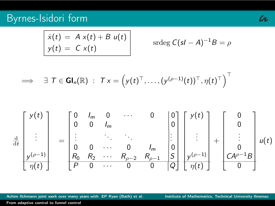## Byrnes-Isidori form

$$
\dot{x}(t) = A x(t) + B u(t)
$$
  
\n
$$
y(t) = C x(t)
$$
 
$$
\text{stdeg } C(sI - A)^{-1}B = \rho
$$

$$
\implies \quad \exists \ \mathcal{T} \in \mathsf{GI}_n(\mathbb{R}) \ : \ \mathcal{T} \times \mathbb{I} \left( \mathsf{y}(t)^{\top}, \ldots, (\mathsf{y}^{(\rho-1)}(t))^{\top}, \eta(t)^{\top} \right)^{\top}
$$



Achim Ilchmann joint work over many years with EP Ryan (Bath) et al. **Institute of Mathematics, Technical University Ilmenau** 

tr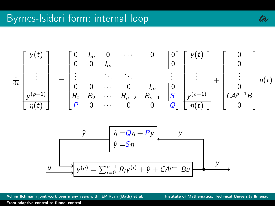

Achim Ilchmann joint work over many years with EP Ryan (Bath) et al. **Institute of Mathematics, Technical University Ilmenau** 

tr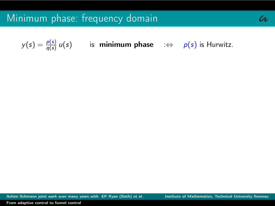$y(s) = \frac{p(s)}{q(s)} u(s)$  is **minimum phase** : $\Leftrightarrow$   $p(s)$  is Hurwitz.

Achim Ilchmann joint work over many years with EP Ryan (Bath) et al. **Institute of Mathematics, Technical University Ilmenau**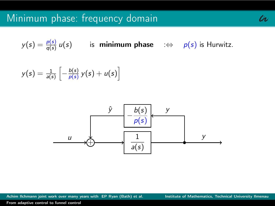$y(s) = \frac{p(s)}{q(s)} u(s)$  is **minimum phase** : $\Leftrightarrow$   $p(s)$  is Hurwitz.

$$
y(s) = \frac{1}{a(s)} \left[ -\frac{b(s)}{p(s)} y(s) + u(s) \right]
$$



Achim Ilchmann joint work over many years with EP Ryan (Bath) et al. **Institute of Mathematics, Technical University Ilmenau**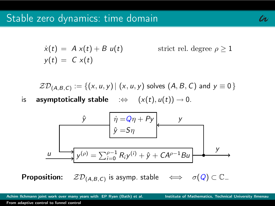$$
\ell\!\!\!\nu
$$

$$
\dot{x}(t) = A x(t) + B u(t) \qquad \text{strict rel. degree } \rho \ge 1
$$
  

$$
y(t) = C x(t)
$$

 $ZD_{(A,B,C)} := \{(x, u, y) | (x, u, y) \text{ solves } (A, B, C) \text{ and } y \equiv 0 \}$ 

is **asymptotically stable**  $\Rightarrow$   $(x(t), u(t)) \rightarrow 0$ .

$$
\hat{y} \qquad \hat{\eta} = Q\eta + Py
$$
\n
$$
\hat{y} = S\eta
$$
\n
$$
y
$$
\n
$$
y
$$
\n
$$
y
$$
\n
$$
y(\rho) = \sum_{i=0}^{\rho-1} R_i y^{(i)} + \hat{y} + CA^{\rho-1}Bu
$$
\n
$$
y
$$

**Proposition:**  $ZD_{(A,B,C)}$  is asymp. stable  $\iff \sigma(Q) \subset \mathbb{C}_-$ 

Achim Ilchmann joint work over many years with EP Ryan (Bath) et al. **Institute of Mathematics, Technical University Ilmenau**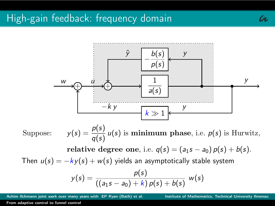

Suppose:  $y(s) = \frac{p(s)}{q(s)} u(s)$  is **minimum phase**, i.e.  $p(s)$  is Hurwitz,

relative degree one, i.e.  $q(s) = (a_1s - a_0) p(s) + b(s)$ .

Then  $u(s) = -ky(s) + w(s)$  yields an asymptotically stable system

$$
y(s) = \frac{p(s)}{((a_1s - a_0) + k)p(s) + b(s)} w(s)
$$

Achim Ilchmann joint work over many years with EP Ryan (Bath) et al. Institute of Mathematics, Technical University Ilmenau

th: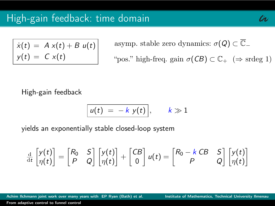$$
\begin{array}{rcl}\n\dot{x}(t) &=& A x(t) + B u(t) \\
y(t) &=& C x(t)\n\end{array}
$$

asymp. stable zero dynamics:  $\sigma(Q) \subset \overline{\mathbb{C}}_-\$ "pos." high-freq. gain  $\sigma(CB) \subset \mathbb{C}_+$  ( $\Rightarrow$  srdeg 1)

High-gain feedback

$$
u(t) = -k y(t), \qquad k \gg 1
$$

yields an exponentially stable closed-loop system

$$
\frac{d}{dt}\begin{bmatrix}y(t)\\ \eta(t)\end{bmatrix}=\begin{bmatrix}R_0 & S\\ P & Q\end{bmatrix}\begin{bmatrix}y(t)\\ \eta(t)\end{bmatrix}+\begin{bmatrix}CB\\ 0\end{bmatrix}u(t)=\begin{bmatrix}R_0-k\ CB & S\\ P & Q\end{bmatrix}\begin{bmatrix}y(t)\\ \eta(t)\end{bmatrix}
$$

Achim Ilchmann joint work over many years with EP Ryan (Bath) et al. **Institute of Mathematics, Technical University Ilmenau**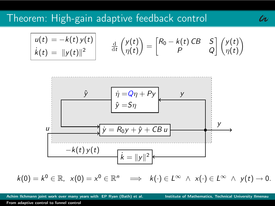$$
\begin{vmatrix} u(t) = -k(t) y(t) \\ k(t) = ||y(t)||^2 \end{vmatrix} \qquad \frac{\mathrm{d}}{\mathrm{d}t} \begin{pmatrix} y(t) \\ \eta(t) \end{pmatrix} = \begin{bmatrix} R_0 - k(t) CB & S \\ P & Q \end{bmatrix} \begin{pmatrix} y(t) \\ \eta(t) \end{pmatrix}
$$



$$
k(0) = k^0 \in \mathbb{R}, \ \ x(0) = x^0 \in \mathbb{R}^n \implies k(\cdot) \in L^{\infty} \ \land \ x(\cdot) \in L^{\infty} \ \land \ y(t) \to 0.
$$

Achim Ilchmann joint work over many years with EP Ryan (Bath) et al. **Institute of Mathematics, Technical University Ilmenau** 

tr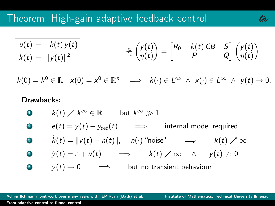$$
\begin{array}{ll}\n u(t) = -k(t) y(t) \\
 \dot{k}(t) = \|y(t)\|^2\n \end{array}\n \qquad\n \frac{\mathrm{d}}{\mathrm{d}t}\n \begin{pmatrix}\n y(t) \\
 \eta(t)\n \end{pmatrix}\n =\n \begin{bmatrix}\n R_0 - k(t) \, CB & S \\
 P & Q\n \end{bmatrix}\n \begin{pmatrix}\n y(t) \\
 \eta(t)\n \end{pmatrix}
$$

 $k(0) = k^0 \in \mathbb{R}, \ \ x(0) = x^0 \in \mathbb{R}^n \implies k(\cdot) \in L^{\infty} \land x(\cdot) \in L^{\infty} \land y(t) \to 0.$ 

### Drawbacks:

\n- \n
$$
k(t) \nearrow k^{\infty} \in \mathbb{R}
$$
\n*but*\n $k^{\infty} \gg 1$ \n
\n- \n $e(t) = y(t) - y_{\text{ref}}(t) \implies$ \n*internal model required*\n
\n- \n $k(t) = \|y(t) + n(t)\|, \quad n(\cdot) \text{ 'noise' } \implies k(t) \nearrow \infty$ \n
\n- \n $y(t) = \varepsilon + u(t) \implies k(t) \nearrow \infty \land y(t) \to 0$ \n
\n- \n $y(t) \to 0 \implies$ \n*but no transient behaviour*\n
\n

Achim Ilchmann joint work over many years with EP Ryan (Bath) et al. **Institute of Mathematics, Technical University Ilmenau** 

th: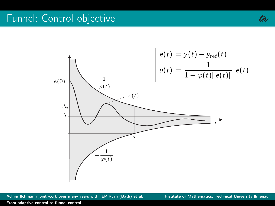## Funnel: Control objective



Achim Ilchmann joint work over many years with EP Ryan (Bath) et al. **Institute of Mathematics, Technical University Ilmenau** 

tr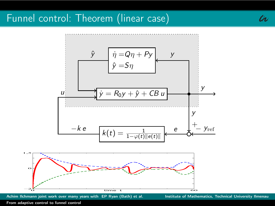# Funnel control: Theorem (linear case)



Achim Ilchmann joint work over many years with EP Ryan (Bath) et al. Institute of Mathematics, Technical University Ilmenau

tr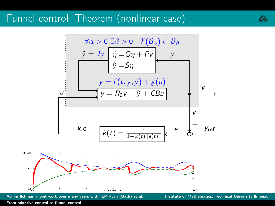### Funnel control: Theorem (nonlinear case)



Achim Ilchmann joint work over many years with EP Ryan (Bath) et al. **Institute of Mathematics, Technical University Ilmenau** 

tr